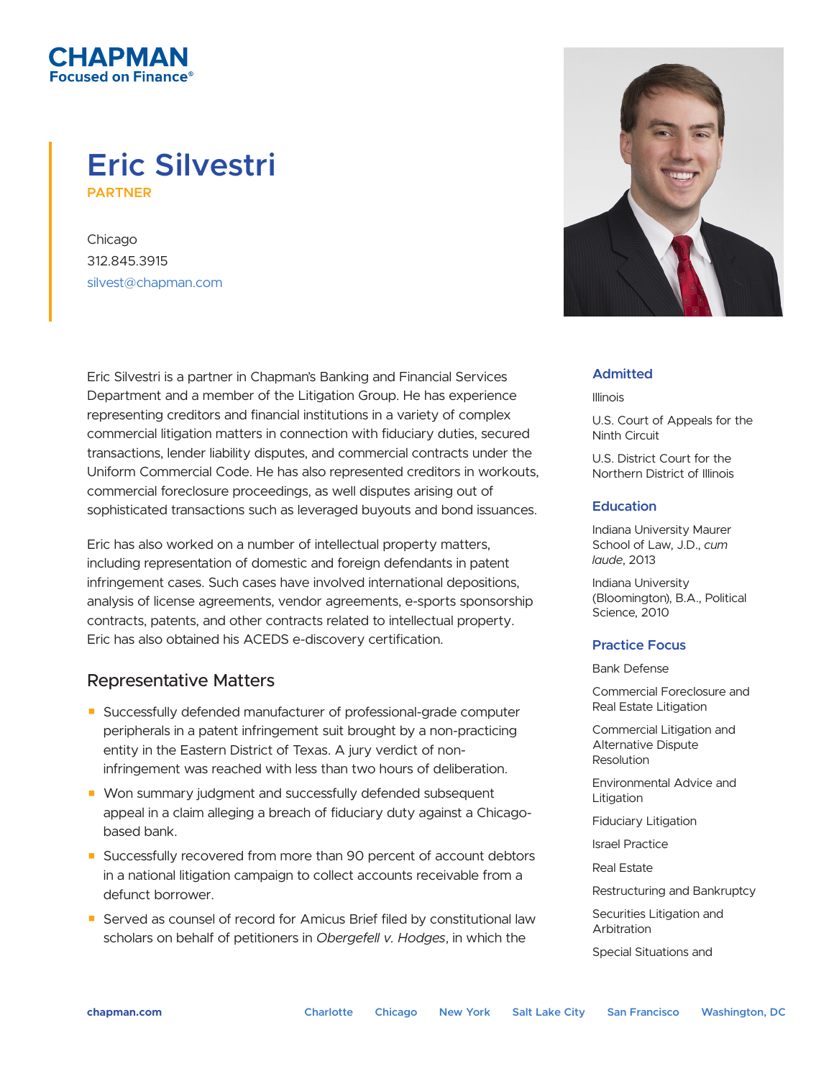# **Eric Silvestri PARTNER**

Chicago 312.845.3915 silvest@chapman.com

СНАРМАН ised on Finance®

> Eric Silvestri is a partner in Chapman's Banking and Financial Services Department and a member of the Litigation Group. He has experience representing creditors and financial institutions in a variety of complex commercial litigation matters in connection with fiduciary duties, secured transactions, lender liability disputes, and commercial contracts under the Uniform Commercial Code. He has also represented creditors in workouts, commercial foreclosure proceedings, as well disputes arising out of sophisticated transactions such as leveraged buyouts and bond issuances.

> Eric has also worked on a number of intellectual property matters, including representation of domestic and foreign defendants in patent infringement cases. Such cases have involved international depositions, analysis of license agreements, vendor agreements, e-sports sponsorship contracts, patents, and other contracts related to intellectual property. Eric has also obtained his ACEDS e-discovery certification.

## Representative Matters

- Successfully defended manufacturer of professional-grade computer peripherals in a patent infringement suit brought by a non-practicing entity in the Eastern District of Texas. A jury verdict of noninfringement was reached with less than two hours of deliberation.
- Won summary judgment and successfully defended subsequent appeal in a claim alleging a breach of fiduciary duty against a Chicagobased bank.
- Successfully recovered from more than 90 percent of account debtors in a national litigation campaign to collect accounts receivable from a defunct borrower.
- Served as counsel of record for Amicus Brief filed by constitutional law scholars on behalf of petitioners in *Obergefell v. Hodges*, in which the



#### **Admitted**

Illinois

U.S. Court of Appeals for the Ninth Circuit

U.S. District Court for the Northern District of Illinois

#### **Education**

Indiana University Maurer School of Law, J.D., *cum laude*, 2013

Indiana University (Bloomington), B.A., Political Science, 2010

#### **Practice Focus**

Bank Defense

Commercial Foreclosure and Real Estate Litigation

Commercial Litigation and Alternative Dispute Resolution

Environmental Advice and Litigation

Fiduciary Litigation

Israel Practice

Real Estate

Restructuring and Bankruptcy

Securities Litigation and Arbitration

Special Situations and